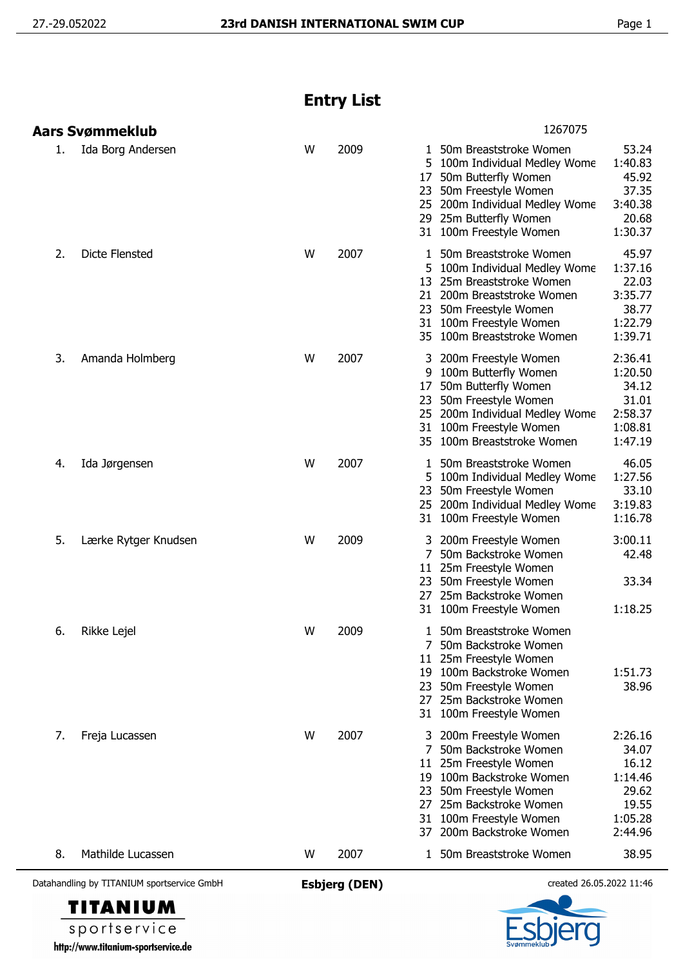## **Entry List**

| Datahandling by TITANIUM sportservice GmbH | <b>Esbjerg (DEN)</b> |      |               | created 26.05.2022 11:46                                                                                                                                                                                    |                                                                              |  |
|--------------------------------------------|----------------------|------|---------------|-------------------------------------------------------------------------------------------------------------------------------------------------------------------------------------------------------------|------------------------------------------------------------------------------|--|
| 8.<br>Mathilde Lucassen                    | W                    | 2007 |               | 1 50m Breaststroke Women                                                                                                                                                                                    | 38.95                                                                        |  |
| 7.<br>Freja Lucassen                       | W                    | 2007 | 7<br>27       | 200m Freestyle Women<br>50m Backstroke Women<br>11 25m Freestyle Women<br>19 100m Backstroke Women<br>23 50m Freestyle Women<br>25m Backstroke Women<br>31 100m Freestyle Women<br>37 200m Backstroke Women | 2:26.16<br>34.07<br>16.12<br>1:14.46<br>29.62<br>19.55<br>1:05.28<br>2:44.96 |  |
| 6.<br>Rikke Lejel                          | W                    | 2009 |               | 1 50m Breaststroke Women<br>7 50m Backstroke Women<br>11 25m Freestyle Women<br>19 100m Backstroke Women<br>23 50m Freestyle Women<br>27 25m Backstroke Women<br>31 100m Freestyle Women                    | 1:51.73<br>38.96                                                             |  |
| 5.<br>Lærke Rytger Knudsen                 | W                    | 2009 | 27            | 200m Freestyle Women<br>50m Backstroke Women<br>11 25m Freestyle Women<br>23 50m Freestyle Women<br>25m Backstroke Women<br>31 100m Freestyle Women                                                         | 3:00.11<br>42.48<br>33.34<br>1:18.25                                         |  |
| 4.<br>Ida Jørgensen                        | W                    | 2007 | 5.<br>23      | 50m Breaststroke Women<br>100m Individual Medley Wome<br>50m Freestyle Women<br>25 200m Individual Medley Wome<br>31 100m Freestyle Women                                                                   | 46.05<br>1:27.56<br>33.10<br>3:19.83<br>1:16.78                              |  |
| 3.<br>Amanda Holmberg                      | W                    | 2007 | 3             | 200m Freestyle Women<br>9 100m Butterfly Women<br>17 50m Butterfly Women<br>23 50m Freestyle Women<br>25 200m Individual Medley Wome<br>31 100m Freestyle Women<br>35 100m Breaststroke Women               | 2:36.41<br>1:20.50<br>34.12<br>31.01<br>2:58.37<br>1:08.81<br>1:47.19        |  |
| 2.<br><b>Dicte Flensted</b>                | W                    | 2007 | 1             | 50m Breaststroke Women<br>5 100m Individual Medley Wome<br>13 25m Breaststroke Women<br>21 200m Breaststroke Women<br>23 50m Freestyle Women<br>31 100m Freestyle Women<br>35 100m Breaststroke Women       | 45.97<br>1:37.16<br>22.03<br>3:35.77<br>38.77<br>1:22.79<br>1:39.71          |  |
| Ida Borg Andersen<br>1.                    | W                    | 2009 | 5<br>17<br>23 | 1 50m Breaststroke Women<br>100m Individual Medley Wome<br>50m Butterfly Women<br>50m Freestyle Women<br>25 200m Individual Medley Wome<br>29 25m Butterfly Women<br>31 100m Freestyle Women                | 53.24<br>1:40.83<br>45.92<br>37.35<br>3:40.38<br>20.68<br>1:30.37            |  |
| <b>Aars Svømmeklub</b>                     |                      |      |               | 1267075                                                                                                                                                                                                     |                                                                              |  |

**TITANIUM** sportservice http://www.titanium-sportservice.de

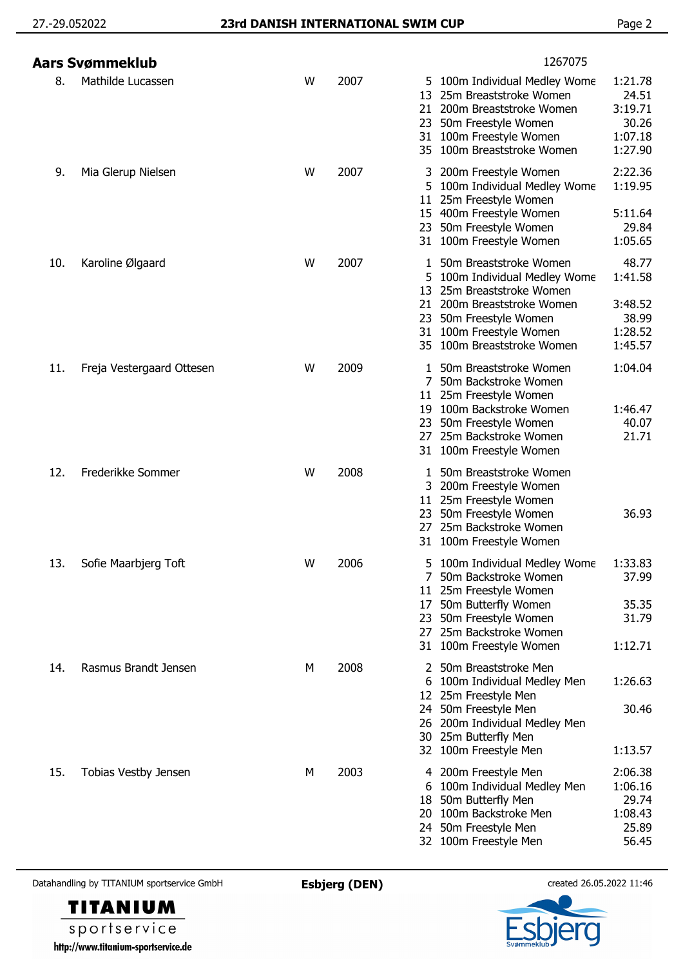|     | Aars Svømmeklub           |   |      | 1267075                                                                                                                                                                                                                                                                            |
|-----|---------------------------|---|------|------------------------------------------------------------------------------------------------------------------------------------------------------------------------------------------------------------------------------------------------------------------------------------|
| 8.  | Mathilde Lucassen         | W | 2007 | 1:21.78<br>5 100m Individual Medley Wome<br>24.51<br>25m Breaststroke Women<br>13<br>3:19.71<br>21 200m Breaststroke Women<br>30.26<br>23 50m Freestyle Women<br>1:07.18<br>31 100m Freestyle Women<br>35 100m Breaststroke Women<br>1:27.90                                       |
| 9.  | Mia Glerup Nielsen        | W | 2007 | 2:22.36<br>200m Freestyle Women<br>3.<br>1:19.95<br>5 100m Individual Medley Wome<br>25m Freestyle Women<br>11 <sup>1</sup><br>15 400m Freestyle Women<br>5:11.64<br>23 50m Freestyle Women<br>29.84<br>31 100m Freestyle Women<br>1:05.65                                         |
| 10. | Karoline Ølgaard          | W | 2007 | 48.77<br>50m Breaststroke Women<br>1<br>1:41.58<br>100m Individual Medley Wome<br>5.<br>25m Breaststroke Women<br>13<br>200m Breaststroke Women<br>3:48.52<br>21<br>38.99<br>23<br>50m Freestyle Women<br>31 100m Freestyle Women<br>1:28.52<br>100m Breaststroke Women<br>1:45.57 |
| 11. | Freja Vestergaard Ottesen | W | 2009 | 1:04.04<br>1 50m Breaststroke Women<br>50m Backstroke Women<br>7<br>11 25m Freestyle Women<br>19 100m Backstroke Women<br>1:46.47<br>40.07<br>23 50m Freestyle Women<br>21.71<br>27 25m Backstroke Women<br>31 100m Freestyle Women                                                |
| 12. | Frederikke Sommer         | W | 2008 | 50m Breaststroke Women<br>1<br>3 200m Freestyle Women<br>11 25m Freestyle Women<br>36.93<br>23 50m Freestyle Women<br>25m Backstroke Women<br>27.<br>100m Freestyle Women<br>31                                                                                                    |
| 13. | Sofie Maarbjerg Toft      | W | 2006 | 1:33.83<br>5 100m Individual Medley Wome<br>37.99<br>7 50m Backstroke Women<br>11 25m Freestyle Women<br>35.35<br>50m Butterfly Women<br>17<br>31.79<br>23 50m Freestyle Women<br>25m Backstroke Women<br>27<br>31 100m Freestyle Women<br>1:12.71                                 |
| 14. | Rasmus Brandt Jensen      | М | 2008 | 2 50m Breaststroke Men<br>1:26.63<br>6 100m Individual Medley Men<br>12 25m Freestyle Men<br>24 50m Freestyle Men<br>30.46<br>26 200m Individual Medley Men<br>30 25m Butterfly Men<br>32 100m Freestyle Men<br>1:13.57                                                            |
| 15. | Tobias Vestby Jensen      | M | 2003 | 4 200m Freestyle Men<br>2:06.38<br>1:06.16<br>6 100m Individual Medley Men<br>50m Butterfly Men<br>29.74<br>18<br>1:08.43<br>20 100m Backstroke Men<br>24 50m Freestyle Men<br>25.89<br>32 100m Freestyle Men<br>56.45                                                             |

Datahandling by TITANIUM sportservice GmbH **Esbjerg (DEN)** created 26.05.2022 11:46



sportservice http://www.titanium-sportservice.de

**TITANIUM**